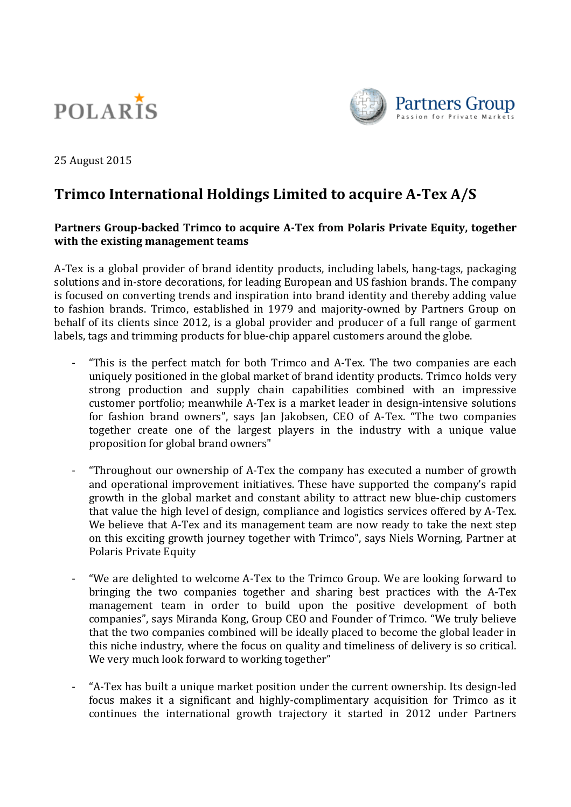



25 August 2015

# **Trimco International Holdings Limited to acquire A-Tex A/S**

## **Partners Group-backed Trimco to acquire A-Tex from Polaris Private Equity, together with the existing management teams**

A-Tex is a global provider of brand identity products, including labels, hang-tags, packaging solutions and in-store decorations, for leading European and US fashion brands. The company is focused on converting trends and inspiration into brand identity and thereby adding value to fashion brands. Trimco, established in 1979 and majority-owned by Partners Group on behalf of its clients since 2012, is a global provider and producer of a full range of garment labels, tags and trimming products for blue-chip apparel customers around the globe.

- "This is the perfect match for both Trimco and A-Tex. The two companies are each uniquely positioned in the global market of brand identity products. Trimco holds very strong production and supply chain capabilities combined with an impressive customer portfolio; meanwhile A-Tex is a market leader in design-intensive solutions for fashion brand owners", says Jan Jakobsen, CEO of A-Tex. "The two companies together create one of the largest players in the industry with a unique value proposition for global brand owners"
- "Throughout our ownership of A-Tex the company has executed a number of growth and operational improvement initiatives. These have supported the company's rapid growth in the global market and constant ability to attract new blue-chip customers that value the high level of design, compliance and logistics services offered by A-Tex. We believe that A-Tex and its management team are now ready to take the next step on this exciting growth journey together with Trimco", says Niels Worning, Partner at Polaris Private Equity
- "We are delighted to welcome A-Tex to the Trimco Group. We are looking forward to bringing the two companies together and sharing best practices with the A-Tex management team in order to build upon the positive development of both companies", says Miranda Kong, Group CEO and Founder of Trimco. "We truly believe that the two companies combined will be ideally placed to become the global leader in this niche industry, where the focus on quality and timeliness of delivery is so critical. We very much look forward to working together"
- "A-Tex has built a unique market position under the current ownership. Its design-led focus makes it a significant and highly-complimentary acquisition for Trimco as it continues the international growth trajectory it started in 2012 under Partners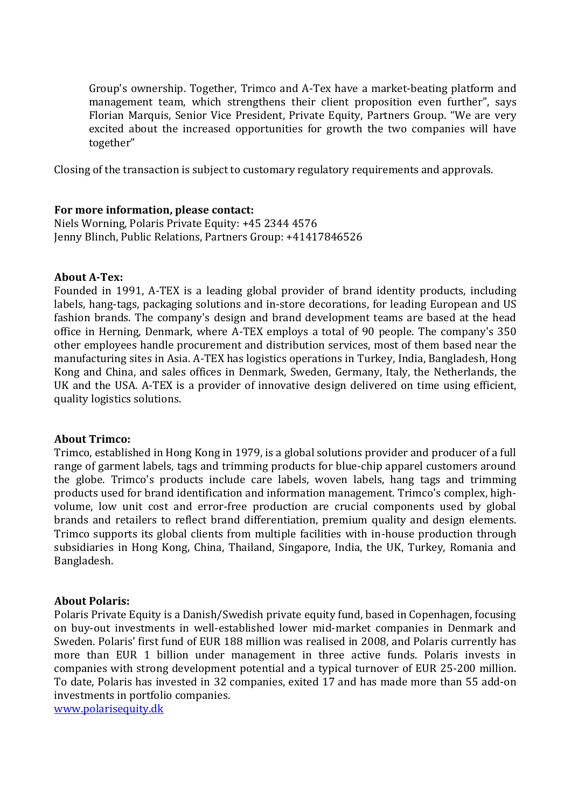Group's ownership. Together, Trimco and A-Tex have a market-beating platform and management team, which strengthens their client proposition even further", says Florian Marquis, Senior Vice President, Private Equity, Partners Group. "We are very excited about the increased opportunities for growth the two companies will have together"

Closing of the transaction is subject to customary regulatory requirements and approvals.

## **For more information, please contact:**

Niels Worning, Polaris Private Equity: +45 2344 4576 Jenny Blinch, Public Relations, Partners Group: +41417846526

#### **About A-Tex:**

Founded in 1991, A-TEX is a leading global provider of brand identity products, including labels, hang-tags, packaging solutions and in-store decorations, for leading European and US fashion brands. The company's design and brand development teams are based at the head office in Herning, Denmark, where A-TEX employs a total of 90 people. The company's 350 other employees handle procurement and distribution services, most of them based near the manufacturing sites in Asia. A-TEX has logistics operations in Turkey, India, Bangladesh, Hong Kong and China, and sales offices in Denmark, Sweden, Germany, Italy, the Netherlands, the UK and the USA. A-TEX is a provider of innovative design delivered on time using efficient, quality logistics solutions.

#### **About Trimco:**

Trimco, established in Hong Kong in 1979, is a global solutions provider and producer of a full range of garment labels, tags and trimming products for blue-chip apparel customers around the globe. Trimco's products include care labels, woven labels, hang tags and trimming products used for brand identification and information management. Trimco's complex, highvolume, low unit cost and error-free production are crucial components used by global brands and retailers to reflect brand differentiation, premium quality and design elements. Trimco supports its global clients from multiple facilities with in-house production through subsidiaries in Hong Kong, China, Thailand, Singapore, India, the UK, Turkey, Romania and Bangladesh.

#### **About Polaris:**

Polaris Private Equity is a Danish/Swedish private equity fund, based in Copenhagen, focusing on buy-out investments in well-established lower mid-market companies in Denmark and Sweden. Polaris' first fund of EUR 188 million was realised in 2008, and Polaris currently has more than EUR 1 billion under management in three active funds. Polaris invests in companies with strong development potential and a typical turnover of EUR 25-200 million. To date, Polaris has invested in 32 companies, exited 17 and has made more than 55 add-on investments in portfolio companies.

[www.polarisequity.dk](http://www.polarisequity.dk/)